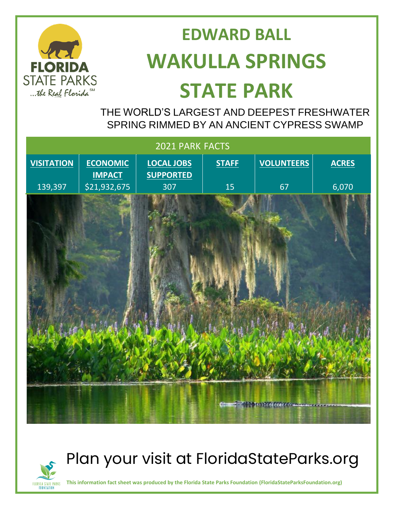

# **EDWARD BALL WAKULLA SPRINGS STATE PARK**

 THE WORLD'S LARGEST AND DEEPEST FRESHWATER SPRING RIMMED BY AN ANCIENT CYPRESS SWAMP

| 2021 PARK FACTS   |                               |                         |              |                                 |              |
|-------------------|-------------------------------|-------------------------|--------------|---------------------------------|--------------|
| <b>VISITATION</b> | <b>ECONOMIC</b>               | <b>LOCAL JOBS</b>       | <b>STAFF</b> | <b>VOLUNTEERS</b>               | <b>ACRES</b> |
| 139,397           | <b>IMPACT</b><br>\$21,932,675 | <b>SUPPORTED</b><br>307 | 15           | 67                              | 6,070        |
|                   |                               |                         |              |                                 |              |
|                   |                               |                         |              |                                 |              |
|                   |                               |                         |              | <b>CAN DISTRICT AND LOOKING</b> |              |



# Plan your visit at FloridaStateParks.org

**This information fact sheet was produced by the Florida State Parks Foundation (FloridaStateParksFoundation.org)**